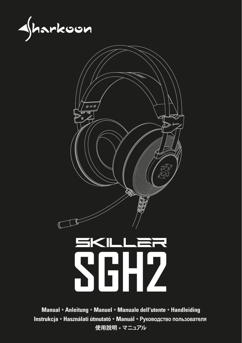



# **SGH2**

**Manual Anleitung Manuel Manuale dell'utente Handleiding Instrukcja Használati útmutató Manuál Руководство пользователя 使用說明 マニュアル**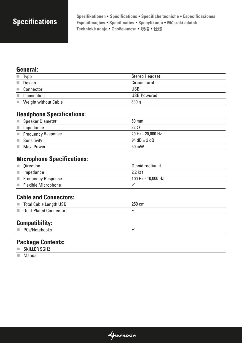**Specifications Spezifikationen Spécifications Specifiche tecniche Especificaciones Especificações Specificaties Specyfikacja M**ű**szaki adatok Technické údaje Особенности 規格 仕様**

#### **General:**

| m.                | Type                        | Stereo Headset     |
|-------------------|-----------------------------|--------------------|
| <b>College</b>    | Design                      | Circumaural        |
| m.                | Connector                   | <b>USB</b>         |
| ٠                 | Illumination                | <b>USB Powered</b> |
| <b>Contractor</b> | <b>Weight without Cable</b> | 390q               |

#### **Headphone Specifications:**

| a a                 | Speaker Diameter                  | $50 \text{ mm}$   |
|---------------------|-----------------------------------|-------------------|
| o.                  | Impedance                         | $32 \Omega$       |
|                     | $\blacksquare$ Frequency Response | 20 Hz - 20,000 Hz |
|                     | Sensitivity                       | 94 dB $\pm$ 3 dB  |
| <b>The Contract</b> | Max. Power                        | $50 \text{ mW}$   |

#### **Microphone Specifications:**

|                       | Direction                  | Omnidirectional    |
|-----------------------|----------------------------|--------------------|
|                       | $\blacksquare$ Impedance   | $2.2 k\Omega$      |
|                       | Frequency Response         | 100 Hz - 10,000 Hz |
| <b>The Contractor</b> | <b>Flexible Microphone</b> |                    |

### **Cable and Connectors:**

| Total Cable Length USB | $250 \text{ cm}$ |
|------------------------|------------------|
| Gold-Plated Connectors |                  |
|                        |                  |

 $\triangleleft$ harkoon

### **Compatibility:**

|  | PCs/Notebooks |  |
|--|---------------|--|
|--|---------------|--|

## **Package Contents:**

- $\blacksquare$  SKILLER SGH2
- Manual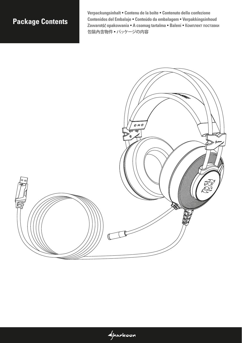# **Package Contents**

**Verpackungsinhalt Contenu de la boîte Contenuto della confezione Contenidos del Embalaje Conteúdo da embalagem Verpakkingsinhoud Zawarot**ść **opakowania A csomag tartalma Balení Комплект поставки 包裝內含物件 パッケージの内容**

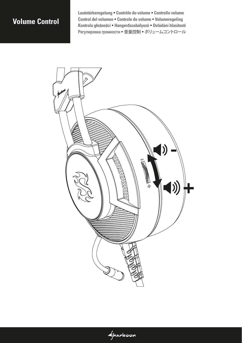# **Volume Control**

**Lautstärkeregelung Contrôle du volume Controllo volume Control del volumen Controle de volume Volumeregeling Kontrola gło**ś**no**ś**ci Hanger**ő**szabályozó Ovládání hlasitosti Регулировка громкости 音量控制 ボリュームコントロール**

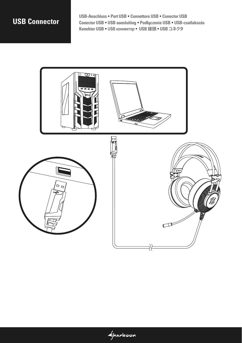# **USB Connector**

**USB-Anschluss Port USB Connettore USB Conector USB Conector USB USB aansluiting Podł**ą**czenie USB USB-csatlakozás Konektor USB USB коннектор USB 接頭 USB コネクタ** 

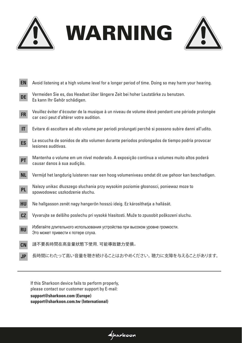



| <b>EN</b>              | Avoid listening at a high volume level for a longer period of time. Doing so may harm your hearing.                                          |
|------------------------|----------------------------------------------------------------------------------------------------------------------------------------------|
| DE                     | Vermeiden Sie es, das Headset über längere Zeit bei hoher Lautstärke zu benutzen.<br>Es kann Ihr Gehör schädigen.                            |
| <b>FR</b>              | Veuillez éviter d'écouter de la musique à un niveau de volume élevé pendant une période prolongée<br>car ceci peut d'altérer votre audition. |
| $\mathsf{I}\mathsf{T}$ | Evitare di ascoltare ad alto volume per periodi prolungati perché si possono subire danni all'udito.                                         |
| ES                     | La escucha de sonidos de alto volumen durante periodos prolongados de tiempo podría provocar<br>lesiones auditivas.                          |
| <b>PT</b>              | Mantenha o volume em um nível moderado. A exposição contínua a volumes muito altos poderá<br>causar danos à sua audição.                     |
| <b>NL</b>              | Vermijd het langdurig luisteren naar een hoog volumeniveau omdat dit uw gehoor kan beschadigen.                                              |
| <b>PL</b>              | Nalezy unikac dłuzszego słuchania przy wysokim poziomie głosnosci, poniewaz moze to<br>spowodowac uszkodzenie słuchu.                        |
| HU                     | Ne hallgasson zenét nagy hangerőn hosszú ideig. Ez károsíthatja a hallását.                                                                  |
| CZ                     | Vyvarujte se delšího poslechu pri vysoké hlasitosti. Muže to zpusobit poškození sluchu.                                                      |
| RU                     | Избегайте длительного использования устройства при высоком уровне громкости.<br>Это может привести к потере слуха.                           |
| <b>CN</b>              | 請不要長時間在高音量狀態下使用, 可能導致聽力受損。                                                                                                                   |
| <b>JP</b>              | 長時間にわたって高い音量を聴き続けることはおやめください。 聴力に支障を与えることがあります。                                                                                              |

 $\triangleleft$ harkoon

If this Sharkoon device fails to perform properly, please contact our customer support by E-mail:

**support@sharkoon.com (Europe) support@sharkoon.com.tw (International)**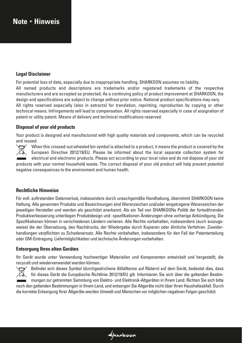# **Note Hinweis**

#### **Legal Disclaimer**

For potential loss of data, especially due to inappropriate handling, SHARKOON assumes no liability. All named products and descriptions are trademarks and/or registered trademarks of the respective manufacturers and are accepted as protected. As a continuing policy of product improvement at SHARKOON, the design and specifications are subject to change without prior notice. National product specifications may vary. All rights reserved especially (also in extracts) for translation, reprinting, reproduction by copying or other technical means. Infringements will lead to compensation. All rights reserved especially in case of assignation of patent or utility patent. Means of delivery and technical modifications reserved.

#### **Disposal of your old products**

Your product is designed and manufactured with high quality materials and components, which can be recycled and reused.

 When this crossed-out wheeled bin symbol is attached to a product, it means the product is covered by the European Directive 2012/19/EU. Please be informed about the local separate collection system for electrical and electronic products. Please act according to your local rules and do not dispose of your old products with your normal household waste. The correct disposal of your old product will help prevent potential negative consequences to the environment and human health.

#### **Rechtliche Hinweise**

Für evtl. auftretenden Datenverlust, insbesondere durch unsachgemäße Handhabung, übernimmt SHARKOON keine Haftung. Alle genannten Produkte und Bezeichnungen sind Warenzeichen und/oder eingetragene Warenzeichen der jeweiligen Hersteller und werden als geschützt anerkannt. Als ein Teil von SHARKOONs Politik der fortwährenden Produktverbesserung unterliegen Produktdesign und -spezifikationen Änderungen ohne vorherige Ankündigung. Die Spezifikationen können in verschiedenen Ländern variieren. Alle Rechte vorbehalten, insbesondere (auch auszugsweise) die der Übersetzung, des Nachdrucks, der Wiedergabe durch Kopieren oder ähnliche Verfahren. Zuwiderhandlungen verpflichten zu Schadenersatz. Alle Rechte vorbehalten, insbesondere für den Fall der Patenterteilung oder GM-Eintragung. Liefermöglichkeiten und technische Änderungen vorbehalten.

#### **Entsorgung Ihres alten Gerätes**

Ihr Gerät wurde unter Verwendung hochwertiger Materialien und Komponenten entwickelt und hergestellt, die recycelt und wiederverwendet werden können.

 $\triangleleft$ harkoon



Befindet sich dieses Symbol (durchgestrichene Abfalltonne auf Rädern) auf dem Gerät, bedeutet dies, dass für dieses Gerät die Europäische Richtlinie 2012/19/EU gilt. Informieren Sie sich über die geltenden Bestim mungen zur getrennten Sammlung von Elektro- und Elektronik-Altgeräten in Ihrem Land. Richten Sie sich bitte nach den geltenden Bestimmungen in Ihrem Land, und entsorgen Sie Altgeräte nicht über Ihren Haushaltsabfall. Durch die korrekte Entsorgung Ihrer Altgeräte werden Umwelt und Menschen vor möglichen negativen Folgen geschützt.